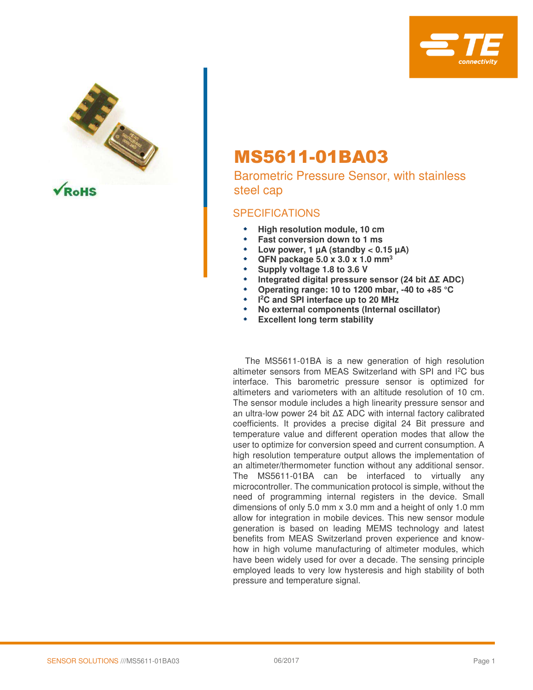



# MS5611-01BA03

Barometric Pressure Sensor, with stainless steel cap

### SPECIFICATIONS

- **High resolution module, 10 cm**
- **Fast conversion down to 1 ms**
- Low power,  $1 \mu A$  (standby  $< 0.15 \mu A$ )
- **QFN package 5.0 x 3.0 x 1.0 mm<sup>3</sup>**
- **Supply voltage 1.8 to 3.6 V**
- **Integrated digital pressure sensor (24 bit ΔΣ ADC)**
- **Operating range: 10 to 1200 mbar, -40 to +85 °C**
- **I <sup>2</sup>C and SPI interface up to 20 MHz**
- **No external components (Internal oscillator)**
- **Excellent long term stability**

 The MS5611-01BA is a new generation of high resolution altimeter sensors from MEAS Switzerland with SPI and I<sup>2</sup>C bus interface. This barometric pressure sensor is optimized for altimeters and variometers with an altitude resolution of 10 cm. The sensor module includes a high linearity pressure sensor and an ultra-low power 24 bit ΔΣ ADC with internal factory calibrated coefficients. It provides a precise digital 24 Bit pressure and temperature value and different operation modes that allow the user to optimize for conversion speed and current consumption. A high resolution temperature output allows the implementation of an altimeter/thermometer function without any additional sensor. The MS5611-01BA can be interfaced to virtually any microcontroller. The communication protocol is simple, without the need of programming internal registers in the device. Small dimensions of only 5.0 mm x 3.0 mm and a height of only 1.0 mm allow for integration in mobile devices. This new sensor module generation is based on leading MEMS technology and latest benefits from MEAS Switzerland proven experience and knowhow in high volume manufacturing of altimeter modules, which have been widely used for over a decade. The sensing principle employed leads to very low hysteresis and high stability of both pressure and temperature signal.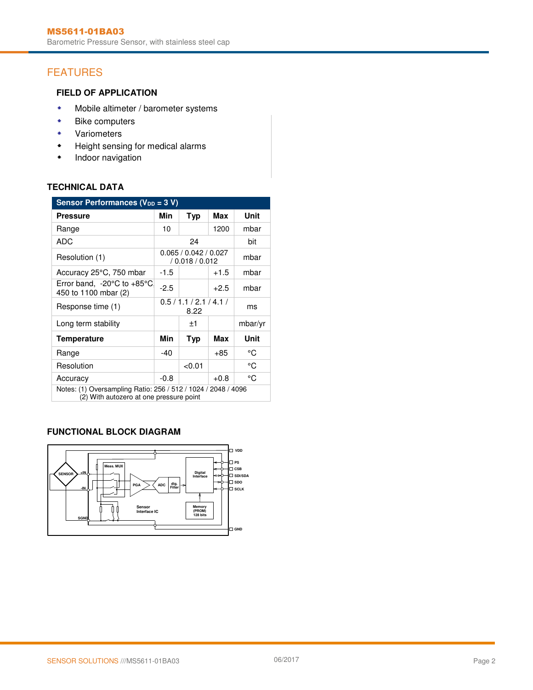## FEATURES

### **FIELD OF APPLICATION**

- **\*** Mobile altimeter / barometer systems
- **\*** Bike computers
- Variometers
- Height sensing for medical alarms
- **+** Indoor navigation

### **TECHNICAL DATA**

| Sensor Performances (V <sub>DD</sub> = 3 V)                                                              |        |                                          |        |         |
|----------------------------------------------------------------------------------------------------------|--------|------------------------------------------|--------|---------|
| <b>Pressure</b>                                                                                          | Min    | <b>Typ</b>                               | Max    | Unit    |
| Range                                                                                                    | 10     |                                          | 1200   | mbar    |
| ADC                                                                                                      |        | 24                                       |        | bit     |
| Resolution (1)                                                                                           |        | 0.065 / 0.042 / 0.027<br>/ 0.018 / 0.012 |        | mbar    |
| Accuracy 25°C, 750 mbar                                                                                  | $-1.5$ |                                          | $+1.5$ | mbar    |
| Error band, -20 $^{\circ}$ C to +85 $^{\circ}$ C<br>450 to 1100 mbar (2)                                 | $-2.5$ |                                          | $+2.5$ | mbar    |
| Response time (1)                                                                                        |        | 0.5/1.1/2.1/4.1/<br>8.22                 |        | ms      |
| Long term stability                                                                                      |        | ±1                                       |        | mbar/yr |
| <b>Temperature</b>                                                                                       | Min    | Typ                                      | Max    | Unit    |
| Range                                                                                                    | $-40$  |                                          | $+85$  | °C      |
| Resolution                                                                                               |        | < 0.01                                   |        | °C      |
| Accuracy                                                                                                 | $-0.8$ |                                          | $+0.8$ | °C      |
| Notes: (1) Oversampling Ratio: 256 / 512 / 1024 / 2048 / 4096<br>(2) With autozero at one pressure point |        |                                          |        |         |

#### **FUNCTIONAL BLOCK DIAGRAM**

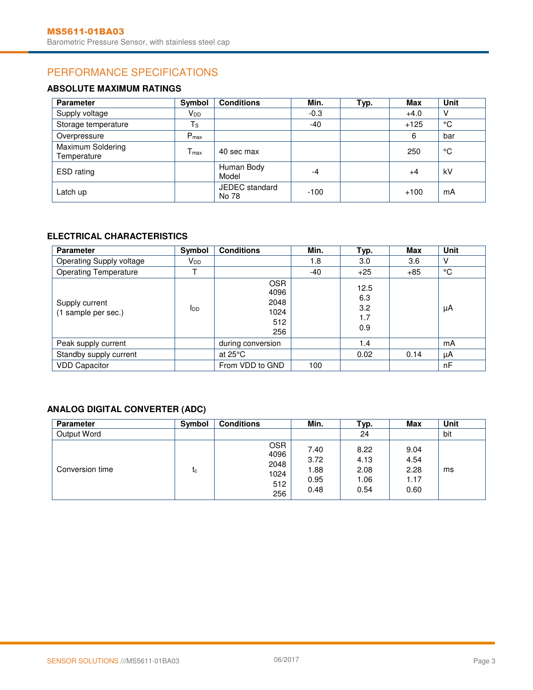## PERFORMANCE SPECIFICATIONS

### **ABSOLUTE MAXIMUM RATINGS**

| <b>Parameter</b>                 | Symbol           | <b>Conditions</b>       | Min.   | Typ. | <b>Max</b> | Unit |
|----------------------------------|------------------|-------------------------|--------|------|------------|------|
| Supply voltage                   | V <sub>DD</sub>  |                         | $-0.3$ |      | $+4.0$     | V    |
| Storage temperature              | $T_{\rm S}$      |                         | -40    |      | $+125$     | °C   |
| Overpressure                     | $P_{\text{max}}$ |                         |        |      | 6          | bar  |
| Maximum Soldering<br>Temperature | $T_{\rm max}$    | 40 sec max              |        |      | 250        | °C   |
| ESD rating                       |                  | Human Body<br>Model     | -4     |      | +4         | kV   |
| Latch up                         |                  | JEDEC standard<br>No 78 | $-100$ |      | $+100$     | mA   |

### **ELECTRICAL CHARACTERISTICS**

| <b>Parameter</b>                      | Symbol          | <b>Conditions</b>                                | Min.  | Typ.                             | Max   | Unit |
|---------------------------------------|-----------------|--------------------------------------------------|-------|----------------------------------|-------|------|
| Operating Supply voltage              | V <sub>DD</sub> |                                                  | 1.8   | 3.0                              | 3.6   | V    |
| <b>Operating Temperature</b>          |                 |                                                  | $-40$ | $+25$                            | $+85$ | °C   |
| Supply current<br>(1 sample per sec.) | $I_{DD}$        | <b>OSR</b><br>4096<br>2048<br>1024<br>512<br>256 |       | 12.5<br>6.3<br>3.2<br>1.7<br>0.9 |       | μA   |
| Peak supply current                   |                 | during conversion                                |       | 1.4                              |       | mA   |
| Standby supply current                |                 | at $25^{\circ}$ C                                |       | 0.02                             | 0.14  | μA   |
| <b>VDD Capacitor</b>                  |                 | From VDD to GND                                  | 100   |                                  |       | nF   |

### **ANALOG DIGITAL CONVERTER (ADC)**

| <b>Parameter</b> | Symbol    | <b>Conditions</b>                                | Min.                                 | Typ.                                 | <b>Max</b>                           | Unit |
|------------------|-----------|--------------------------------------------------|--------------------------------------|--------------------------------------|--------------------------------------|------|
| Output Word      |           |                                                  |                                      | 24                                   |                                      | bit  |
| Conversion time  | <b>Lc</b> | <b>OSR</b><br>4096<br>2048<br>1024<br>512<br>256 | 7.40<br>3.72<br>. 88<br>0.95<br>0.48 | 8.22<br>4.13<br>2.08<br>1.06<br>0.54 | 9.04<br>4.54<br>2.28<br>1.17<br>0.60 | ms   |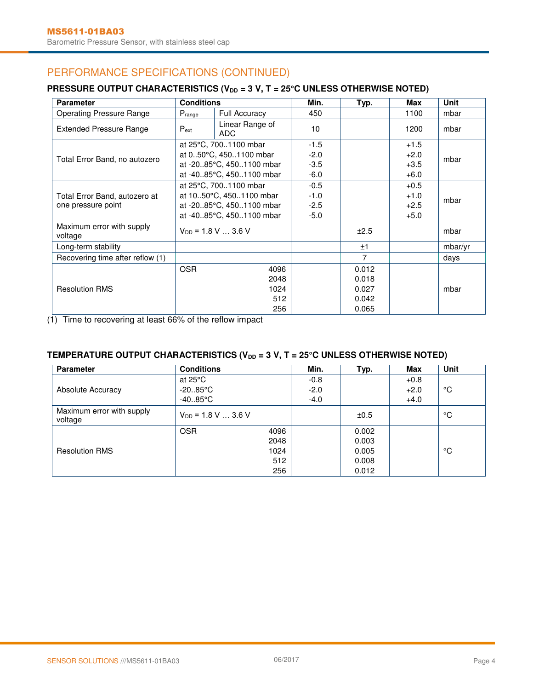## PERFORMANCE SPECIFICATIONS (CONTINUED)

### **PRESSURE OUTPUT CHARACTERISTICS (V<sub>DD</sub> = 3 V, T = 25°C UNLESS OTHERWISE NOTED)**

| <b>Parameter</b>                                    | <b>Conditions</b>        |                          | Min.   | Typ.  | Max    | Unit    |
|-----------------------------------------------------|--------------------------|--------------------------|--------|-------|--------|---------|
| <b>Operating Pressure Range</b>                     | Prange                   | Full Accuracy            | 450    |       | 1100   | mbar    |
| <b>Extended Pressure Range</b>                      | $P_{ext}$                | Linear Range of<br>ADC.  | 10     |       | 1200   | mbar    |
|                                                     |                          | at 25°C, 7001100 mbar    | $-1.5$ |       | $+1.5$ |         |
| Total Error Band, no autozero                       |                          | at 050°C, 4501100 mbar   | $-2.0$ |       | $+2.0$ | mbar    |
|                                                     |                          | at -2085°C, 4501100 mbar | $-3.5$ |       | $+3.5$ |         |
|                                                     |                          | at -4085°C, 4501100 mbar | $-6.0$ |       | $+6.0$ |         |
|                                                     |                          | at 25°C, 7001100 mbar    | $-0.5$ |       | $+0.5$ |         |
| Total Error Band, autozero at<br>one pressure point | at 1050°C, 4501100 mbar  |                          | $-1.0$ |       | $+1.0$ | mbar    |
|                                                     | at -2085°C, 4501100 mbar |                          | $-2.5$ |       | $+2.5$ |         |
|                                                     |                          | at -4085°C, 4501100 mbar | $-5.0$ |       | $+5.0$ |         |
| Maximum error with supply<br>voltage                |                          | $V_{DD}$ = 1.8 V  3.6 V  |        | ±2.5  |        | mbar    |
| Long-term stability                                 |                          |                          |        | ±1    |        | mbar/yr |
| Recovering time after reflow (1)                    |                          |                          |        | 7     |        | days    |
|                                                     | <b>OSR</b>               | 4096                     |        | 0.012 |        |         |
|                                                     |                          | 2048                     |        | 0.018 |        |         |
| <b>Resolution RMS</b>                               |                          | 1024                     |        | 0.027 |        | mbar    |
|                                                     |                          | 512                      |        | 0.042 |        |         |
|                                                     |                          | 256                      |        | 0.065 |        |         |

(1) Time to recovering at least 66% of the reflow impact

### TEMPERATURE OUTPUT CHARACTERISTICS (V<sub>DD</sub> = 3 V, T = 25°C UNLESS OTHERWISE NOTED)

| <b>Parameter</b>                     | <b>Conditions</b>       |      | Min.   | Typ.  | Max    | Unit |
|--------------------------------------|-------------------------|------|--------|-------|--------|------|
|                                      | at $25^{\circ}$ C       |      | $-0.8$ |       | $+0.8$ |      |
| <b>Absolute Accuracy</b>             | $-20.85^{\circ}$ C      |      | $-2.0$ |       | $+2.0$ | ℃    |
|                                      | $-4085$ °C              |      | $-4.0$ |       | $+4.0$ |      |
| Maximum error with supply<br>voltage | $V_{DD}$ = 1.8 V  3.6 V |      |        | ±0.5  |        | °C   |
|                                      | <b>OSR</b>              | 4096 |        | 0.002 |        |      |
|                                      |                         | 2048 |        | 0.003 |        |      |
| <b>Resolution RMS</b>                |                         | 1024 |        | 0.005 |        | °C   |
|                                      |                         | 512  |        | 0.008 |        |      |
|                                      |                         | 256  |        | 0.012 |        |      |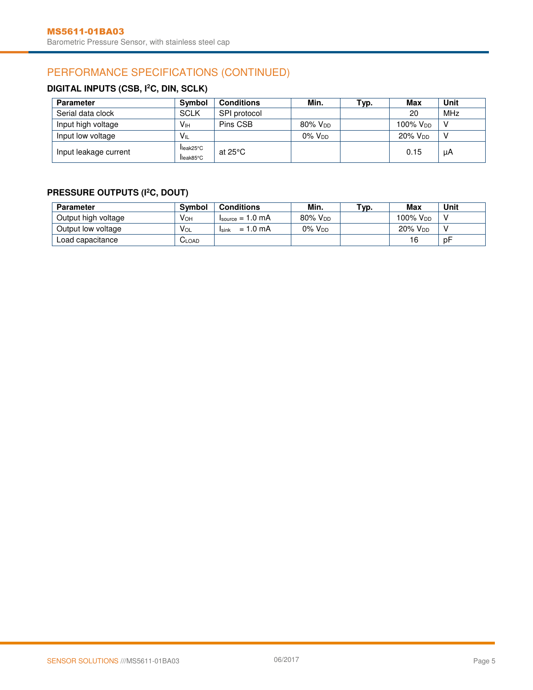## PERFORMANCE SPECIFICATIONS (CONTINUED)

### **DIGITAL INPUTS (CSB, I<sup>2</sup>C, DIN, SCLK)**

| <b>Parameter</b>      | <b>Symbol</b>         | <b>Conditions</b>  | Min.                | тур. | Max                  | Unit |
|-----------------------|-----------------------|--------------------|---------------------|------|----------------------|------|
| Serial data clock     | <b>SCLK</b>           | SPI protocol       |                     |      | 20                   | MHz  |
| Input high voltage    | Vін                   | Pins CSB           | 80% V <sub>DD</sub> |      | 100% V <sub>DD</sub> | v    |
| Input low voltage     | V <sub>IL</sub>       |                    | $0\%$ $V_{DD}$      |      | 20% V <sub>DD</sub>  | N    |
| Input leakage current | leak25°C<br>lleak85°C | at 25 $^{\circ}$ C |                     |      | 0.15                 | μA   |

### **PRESSURE OUTPUTS (I<sup>2</sup>C, DOUT)**

| <b>Parameter</b>    | <b>Symbol</b>          | <b>Conditions</b>                  | Min.                | тур. | Max                 | Unit |
|---------------------|------------------------|------------------------------------|---------------------|------|---------------------|------|
| Output high voltage | V <sub>OH</sub>        | $lsource = 1.0 mA$                 | 80% V <sub>DD</sub> |      | 100% Vpp            |      |
| Output low voltage  | <b>V</b> <sub>OL</sub> | $= 1.0 \text{ mA}$<br><b>Isink</b> | $0\%$ $V_{DD}$      |      | 20% V <sub>DD</sub> |      |
| Load capacitance    | LOAD -                 |                                    |                     |      | 16                  | рF   |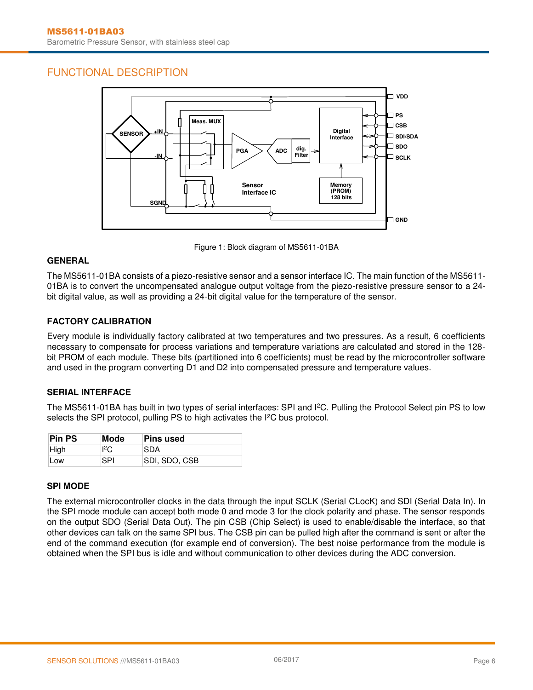### FUNCTIONAL DESCRIPTION



Figure 1: Block diagram of MS5611-01BA

### **GENERAL**

The MS5611-01BA consists of a piezo-resistive sensor and a sensor interface IC. The main function of the MS5611- 01BA is to convert the uncompensated analogue output voltage from the piezo-resistive pressure sensor to a 24 bit digital value, as well as providing a 24-bit digital value for the temperature of the sensor.

#### **FACTORY CALIBRATION**

Every module is individually factory calibrated at two temperatures and two pressures. As a result, 6 coefficients necessary to compensate for process variations and temperature variations are calculated and stored in the 128 bit PROM of each module. These bits (partitioned into 6 coefficients) must be read by the microcontroller software and used in the program converting D1 and D2 into compensated pressure and temperature values.

#### **SERIAL INTERFACE**

The MS5611-01BA has built in two types of serial interfaces: SPI and I<sup>2</sup>C. Pulling the Protocol Select pin PS to low selects the SPI protocol, pulling PS to high activates the I<sup>2</sup>C bus protocol.

| <b>Pin PS</b> | Mode        | ∣Pins used     |
|---------------|-------------|----------------|
| High          | ${}^{12}$ C | SDA            |
| Low           | SPI         | ISDI, SDO, CSB |

#### **SPI MODE**

The external microcontroller clocks in the data through the input SCLK (Serial CLocK) and SDI (Serial Data In). In the SPI mode module can accept both mode 0 and mode 3 for the clock polarity and phase. The sensor responds on the output SDO (Serial Data Out). The pin CSB (Chip Select) is used to enable/disable the interface, so that other devices can talk on the same SPI bus. The CSB pin can be pulled high after the command is sent or after the end of the command execution (for example end of conversion). The best noise performance from the module is obtained when the SPI bus is idle and without communication to other devices during the ADC conversion.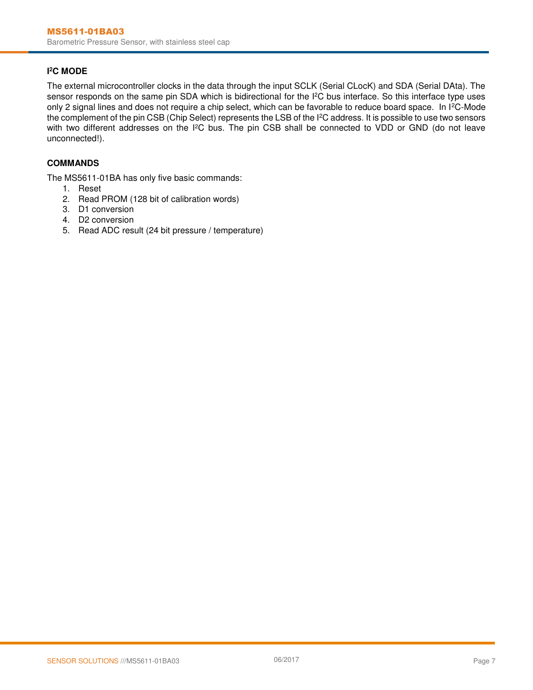#### **I <sup>2</sup>C MODE**

The external microcontroller clocks in the data through the input SCLK (Serial CLocK) and SDA (Serial DAta). The sensor responds on the same pin SDA which is bidirectional for the I<sup>2</sup>C bus interface. So this interface type uses only 2 signal lines and does not require a chip select, which can be favorable to reduce board space. In I<sup>2</sup>C-Mode the complement of the pin CSB (Chip Select) represents the LSB of the I<sup>2</sup>C address. It is possible to use two sensors with two different addresses on the I<sup>2</sup>C bus. The pin CSB shall be connected to VDD or GND (do not leave unconnected!).

#### **COMMANDS**

The MS5611-01BA has only five basic commands:

- 1. Reset
- 2. Read PROM (128 bit of calibration words)
- 3. D1 conversion
- 4. D2 conversion
- 5. Read ADC result (24 bit pressure / temperature)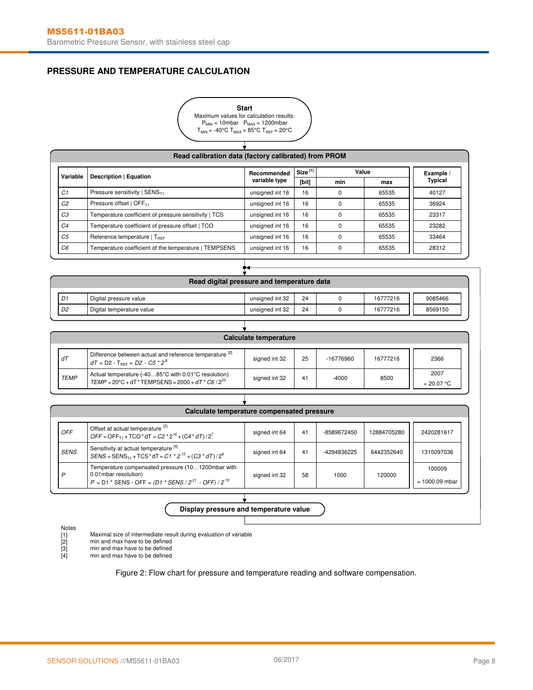### **PRESSURE AND TEMPERATURE CALCULATION**



T

|                | Read calibration data (factory calibrated) from PROM  |                 |                     |     |       |                |  |  |
|----------------|-------------------------------------------------------|-----------------|---------------------|-----|-------|----------------|--|--|
| Variable       | Description   Equation                                | Recommended     | Size <sup>[1]</sup> |     | Value | Example /      |  |  |
|                |                                                       | variable type   | [bit]               | min | max   | <b>Typical</b> |  |  |
| C <sub>1</sub> | Pressure sensitivity   $SENST1$                       | unsigned int 16 | 16                  |     | 65535 | 40127          |  |  |
| C <sub>2</sub> | Pressure offset   OFF <sub>T1</sub>                   | unsigned int 16 | 16                  |     | 65535 | 36924          |  |  |
| CЗ             | Temperature coefficient of pressure sensitivity   TCS | unsigned int 16 | 16                  |     | 65535 | 23317          |  |  |
| C <sub>4</sub> | Temperature coefficient of pressure offset   TCO      | unsigned int 16 | 16                  |     | 65535 | 23282          |  |  |
| C <sub>5</sub> | Reference temperature $\Gamma_{\text{BFE}}$           | unsigned int 16 | 16                  | O.  | 65535 | 33464          |  |  |
| C6             | Temperature coefficient of the temperature   TEMPSENS | unsigned int 16 | 16                  | 0   | 65535 | 28312          |  |  |

|    | Read digital pressure and temperature data |                 |    |  |          |         |  |  |
|----|--------------------------------------------|-----------------|----|--|----------|---------|--|--|
| D1 | Digital pressure value                     | unsigned int 32 | 24 |  | 16777216 | 9085466 |  |  |
| D2 | Digital temperature value                  | unsigned int 32 | 24 |  | 16777216 | 8569150 |  |  |

 ${\bf t}$ 

|                                                                                                                                                               |                                                                                                                       | Calculate temperature |    |         |      |                      |
|---------------------------------------------------------------------------------------------------------------------------------------------------------------|-----------------------------------------------------------------------------------------------------------------------|-----------------------|----|---------|------|----------------------|
| Difference between actual and reference temperature [2]<br>25<br>dT<br>signed int 32<br>$-16776960$<br>16777216<br>$dT = D2 - T_{\text{per}} = D2 - C5 * 2^8$ |                                                                                                                       |                       |    |         |      |                      |
| <b>TEMP</b>                                                                                                                                                   | Actual temperature (-4085°C with 0.01°C resolution)<br>$TEMP = 20^{\circ}C + dT * TEMPSENS = 2000 + dT * C6 / 2^{23}$ | signed int 32         | 41 | $-4000$ | 8500 | 2007<br>$= 20.07 °C$ |

| Offset at actual temperature [3]<br>OFF<br>12884705280<br>2420281617<br>signed int 64<br>41<br>-8589672450<br>$OFF = OFF_{T1} + TCO^* dT = C2 * 2^{16} + (C4 * dT)/2^7$<br>Sensitivity at actual temperature <sup>[4]</sup><br><b>SENS</b><br>6442352640<br>1315097036<br>signed int 64<br>41<br>-4294836225<br>$SENS = SENS_{T1} + TCS * dT = C1 * 2^{15} + (C3 * dT)/2^8$<br>Temperature compensated pressure (101200mbar with<br>100009<br>0.01 mbar resolution)<br>D<br>58<br>1000<br>signed int 32<br>120000<br>$P = D1$ * SENS - OFF = (D1 * SENS / 2 <sup>21</sup> - OFF) / 2 <sup>15</sup><br>$= 1000.09$ mbar | Calculate temperature compensated pressure |  |  |  |  |  |  |  |  |  |  |
|------------------------------------------------------------------------------------------------------------------------------------------------------------------------------------------------------------------------------------------------------------------------------------------------------------------------------------------------------------------------------------------------------------------------------------------------------------------------------------------------------------------------------------------------------------------------------------------------------------------------|--------------------------------------------|--|--|--|--|--|--|--|--|--|--|
|                                                                                                                                                                                                                                                                                                                                                                                                                                                                                                                                                                                                                        |                                            |  |  |  |  |  |  |  |  |  |  |
|                                                                                                                                                                                                                                                                                                                                                                                                                                                                                                                                                                                                                        |                                            |  |  |  |  |  |  |  |  |  |  |
|                                                                                                                                                                                                                                                                                                                                                                                                                                                                                                                                                                                                                        |                                            |  |  |  |  |  |  |  |  |  |  |

**Display pressure and temperature value**

Ţ

Notes

- Maximal size of intermediate result during evaluation of variable
- [1] [2]
- [3] [4] min and max have to be defined min and max have to be defined min and max have to be defined
- 

Figure 2: Flow chart for pressure and temperature reading and software compensation.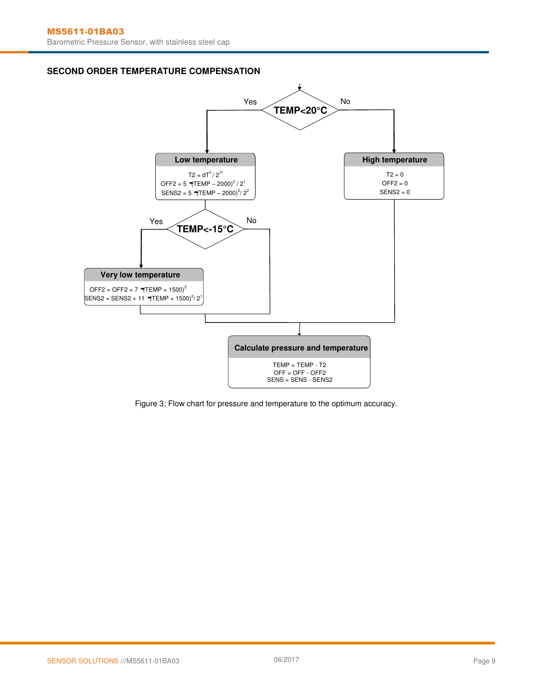#### **SECOND ORDER TEMPERATURE COMPENSATION**



Figure 3: Flow chart for pressure and temperature to the optimum accuracy.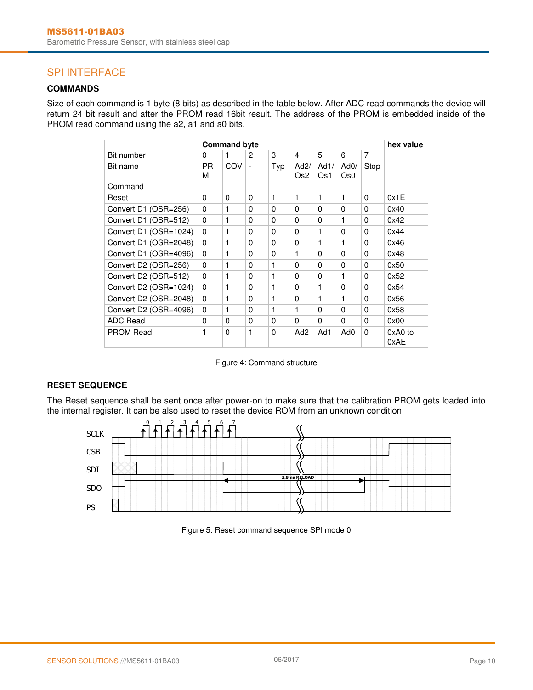### SPI INTERFACE

### **COMMANDS**

Size of each command is 1 byte (8 bits) as described in the table below. After ADC read commands the device will return 24 bit result and after the PROM read 16bit result. The address of the PROM is embedded inside of the PROM read command using the a2, a1 and a0 bits.

| <b>Command byte</b>   |          |     |                          |          |                         |             |             | hex value |                 |
|-----------------------|----------|-----|--------------------------|----------|-------------------------|-------------|-------------|-----------|-----------------|
| Bit number            | 0        | 1   | 2                        | 3        | 4                       | 5           | 6           | 7         |                 |
| Bit name              | PR.<br>M | COV | $\overline{\phantom{a}}$ | Typ      | Ad2/<br>Os <sub>2</sub> | Ad1/<br>Os1 | AdO/<br>Os0 | Stop      |                 |
| Command               |          |     |                          |          |                         |             |             |           |                 |
| Reset                 | $\Omega$ | 0   | $\Omega$                 | 1        | 1                       | 1           | 1           | $\Omega$  | 0x1E            |
| Convert D1 (OSR=256)  | 0        | 1   | $\Omega$                 | 0        | 0                       | $\Omega$    | 0           | 0         | 0x40            |
| Convert D1 (OSR=512)  | $\Omega$ | 1   | $\Omega$                 | 0        | 0                       | $\Omega$    | 1           | 0         | 0x42            |
| Convert D1 (OSR=1024) | $\Omega$ | 1   | $\Omega$                 | 0        | 0                       | 1           | $\Omega$    | 0         | 0x44            |
| Convert D1 (OSR=2048) | $\Omega$ | 1   | $\Omega$                 | $\Omega$ | 0                       | 1           | 1           | 0         | 0x46            |
| Convert D1 (OSR=4096) | $\Omega$ | 1   | $\Omega$                 | $\Omega$ | 1                       | $\Omega$    | $\Omega$    | 0         | 0x48            |
| Convert D2 (OSR=256)  | $\Omega$ | 1   | 0                        | 1        | 0                       | $\Omega$    | 0           | 0         | 0x50            |
| Convert D2 (OSR=512)  | $\Omega$ | 1   | 0                        | 1        | 0                       | $\Omega$    | 1           | 0         | 0x52            |
| Convert D2 (OSR=1024) | $\Omega$ | 1   | 0                        | 1        | 0                       | 1           | $\Omega$    | 0         | 0x54            |
| Convert D2 (OSR=2048) | 0        | 1   | 0                        | 1        | 0                       | 1           | 1           | 0         | 0x56            |
| Convert D2 (OSR=4096) | $\Omega$ | 1   | $\Omega$                 | 1        | 1                       | $\Omega$    | 0           | 0         | 0x58            |
| <b>ADC Read</b>       | $\Omega$ | 0   | 0                        | 0        | 0                       | 0           | $\Omega$    | 0         | 0x00            |
| <b>PROM Read</b>      | 1        | 0   | 1                        | 0        | Ad <sub>2</sub>         | Ad1         | Ad0         | 0         | 0xA0 to<br>0xAE |

#### Figure 4: Command structure

#### **RESET SEQUENCE**

The Reset sequence shall be sent once after power-on to make sure that the calibration PROM gets loaded into the internal register. It can be also used to reset the device ROM from an unknown condition



Figure 5: Reset command sequence SPI mode 0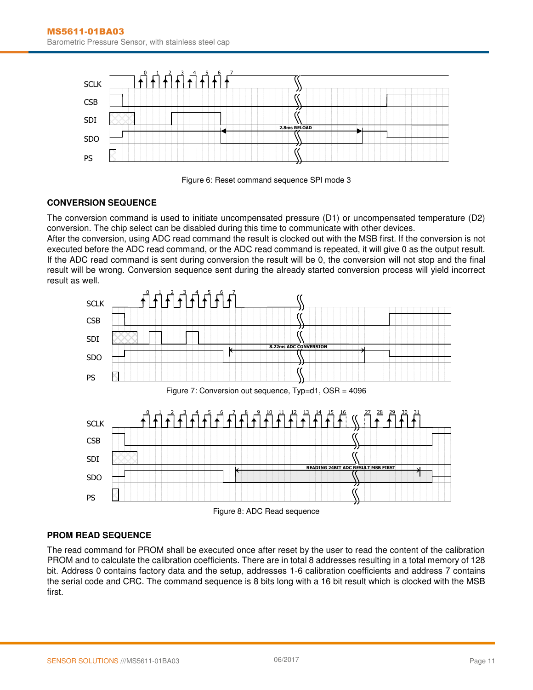



#### **CONVERSION SEQUENCE**

The conversion command is used to initiate uncompensated pressure (D1) or uncompensated temperature (D2) conversion. The chip select can be disabled during this time to communicate with other devices.

After the conversion, using ADC read command the result is clocked out with the MSB first. If the conversion is not executed before the ADC read command, or the ADC read command is repeated, it will give 0 as the output result. If the ADC read command is sent during conversion the result will be 0, the conversion will not stop and the final result will be wrong. Conversion sequence sent during the already started conversion process will yield incorrect result as well.



#### **PROM READ SEQUENCE**

The read command for PROM shall be executed once after reset by the user to read the content of the calibration PROM and to calculate the calibration coefficients. There are in total 8 addresses resulting in a total memory of 128 bit. Address 0 contains factory data and the setup, addresses 1-6 calibration coefficients and address 7 contains the serial code and CRC. The command sequence is 8 bits long with a 16 bit result which is clocked with the MSB first.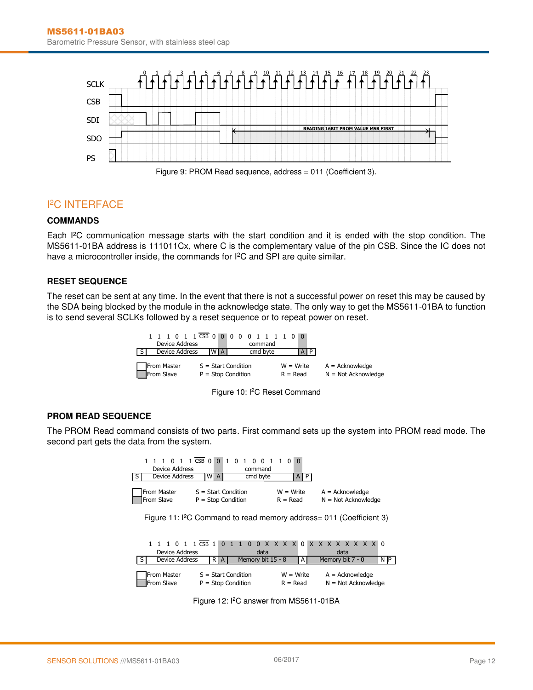

### I <sup>2</sup>C INTERFACE

### **COMMANDS**

Each I<sup>2</sup>C communication message starts with the start condition and it is ended with the stop condition. The MS5611-01BA address is 111011Cx, where C is the complementary value of the pin CSB. Since the IC does not have a microcontroller inside, the commands for I<sup>2</sup>C and SPI are quite similar.

#### **RESET SEQUENCE**

The reset can be sent at any time. In the event that there is not a successful power on reset this may be caused by the SDA being blocked by the module in the acknowledge state. The only way to get the MS5611-01BA to function is to send several SCLKs followed by a reset sequence or to repeat power on reset.

| Device Address            |                                               | 1 1 1 0 1 1 CSB 0 0 0 0 0 1 1 1 1 0 0<br>command |                           |                                            |
|---------------------------|-----------------------------------------------|--------------------------------------------------|---------------------------|--------------------------------------------|
| Device Address            | <b>WIA</b>                                    | cmd byte                                         | A I P                     |                                            |
| From Master<br>From Slave | $S = Start Condition$<br>$P = Stop Condition$ |                                                  | $W = Write$<br>$R = Read$ | $A = Acknowledge$<br>$N = Not Acknowledge$ |

Figure 10: I<sup>2</sup>C Reset Command

#### **PROM READ SEQUENCE**

The PROM Read command consists of two parts. First command sets up the system into PROM read mode. The second part gets the data from the system.

| 0 1 1 CSB 0<br>Device Address<br>Device Address<br><sub>S</sub>                 | $\mathbf{0}$<br>1<br>$\Omega$<br>$\mathbf{1}$<br>$\Omega$<br>n.<br>command<br>cmd byte<br>WI<br>$\mathsf{A}$ | $\Omega$<br>P<br>A        |                                            |   |  |  |  |
|---------------------------------------------------------------------------------|--------------------------------------------------------------------------------------------------------------|---------------------------|--------------------------------------------|---|--|--|--|
| From Master<br>From Slave                                                       | $S = Start Condition$<br>$P = Stop Condition$                                                                | $W = Write$<br>$R = Read$ | $A = Acknowledge$<br>$N = Not Acknowledge$ |   |  |  |  |
| Figure 11: I <sup>2</sup> C Command to read memory address= 011 (Coefficient 3) |                                                                                                              |                           |                                            |   |  |  |  |
| 0 <sub>1</sub><br><b>Device Address</b>                                         | $1$ CSB $1$<br>$\Omega$<br>$\Omega$<br>data                                                                  |                           | $0 X X X X 0 X X X X X X X 0$<br>data      |   |  |  |  |
| Device Address                                                                  | Memory bit 15 - 8<br>R.<br>A                                                                                 | A                         | Memory bit 7 - 0                           | N |  |  |  |
| From Master<br>From Slave                                                       | $S = Start Condition$<br>$P = Stop Condition$                                                                | $W = Write$<br>$R = Read$ | $A = Acknowledge$<br>$N = Not Acknowledge$ |   |  |  |  |

Figure 12: I<sup>2</sup>C answer from MS5611-01BA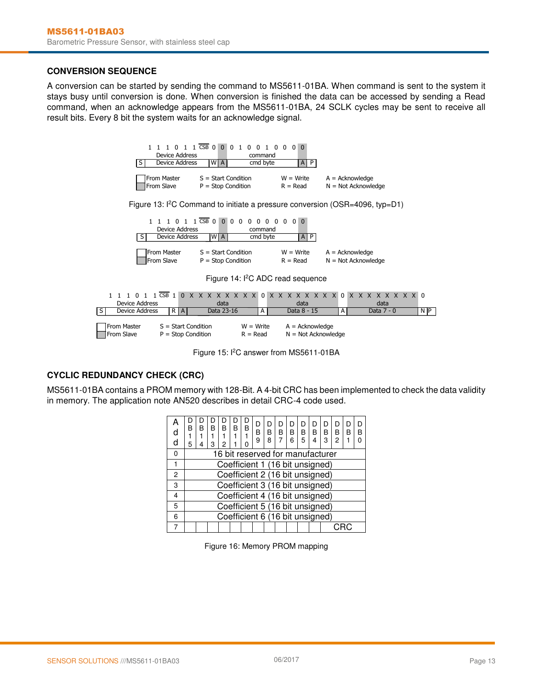#### **CONVERSION SEQUENCE**

A conversion can be started by sending the command to MS5611-01BA. When command is sent to the system it stays busy until conversion is done. When conversion is finished the data can be accessed by sending a Read command, when an acknowledge appears from the MS5611-01BA, 24 SCLK cycles may be sent to receive all result bits. Every 8 bit the system waits for an acknowledge signal.



Figure 15: I<sup>2</sup>C answer from MS5611-01BA

#### **CYCLIC REDUNDANCY CHECK (CRC)**

MS5611-01BA contains a PROM memory with 128-Bit. A 4-bit CRC has been implemented to check the data validity in memory. The application note AN520 describes in detail CRC-4 code used.

| d<br>d | R<br>5 | R                                | R<br>з | B<br>2 | B | B | D<br>B<br>9 | I)<br>в<br>8 | B | B | Đ<br>B<br>5 | D<br>B | D<br>B<br>3 | D<br>B<br>2 | D<br>в | R |
|--------|--------|----------------------------------|--------|--------|---|---|-------------|--------------|---|---|-------------|--------|-------------|-------------|--------|---|
| 0      |        | 16 bit reserved for manufacturer |        |        |   |   |             |              |   |   |             |        |             |             |        |   |
|        |        | Coefficient 1 (16 bit unsigned)  |        |        |   |   |             |              |   |   |             |        |             |             |        |   |
| 2      |        | Coefficient 2 (16 bit unsigned)  |        |        |   |   |             |              |   |   |             |        |             |             |        |   |
| 3      |        | Coefficient 3 (16 bit unsigned)  |        |        |   |   |             |              |   |   |             |        |             |             |        |   |
| 4      |        | Coefficient 4 (16 bit unsigned)  |        |        |   |   |             |              |   |   |             |        |             |             |        |   |
| 5      |        | Coefficient 5 (16 bit unsigned)  |        |        |   |   |             |              |   |   |             |        |             |             |        |   |
| 6      |        | Coefficient 6 (16 bit unsigned)  |        |        |   |   |             |              |   |   |             |        |             |             |        |   |
|        |        |                                  |        |        |   |   |             |              |   |   |             |        |             |             |        |   |

Figure 16: Memory PROM mapping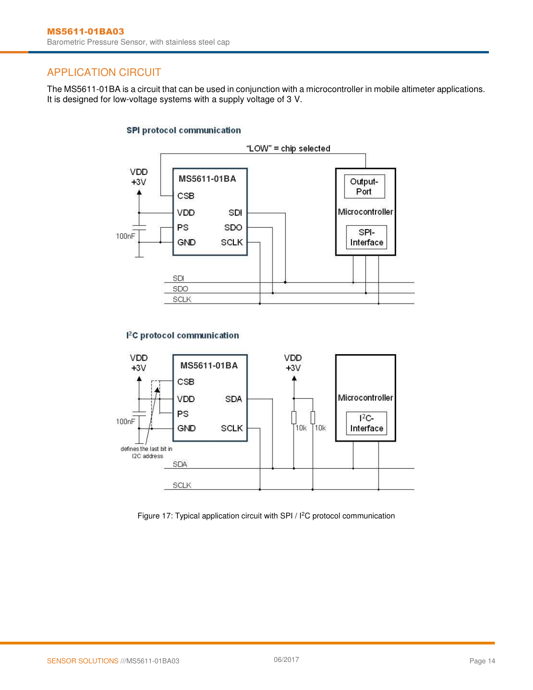### APPLICATION CIRCUIT

The MS5611-01BA is a circuit that can be used in conjunction with a microcontroller in mobile altimeter applications. It is designed for low-voltage systems with a supply voltage of 3 V.

#### **SPI protocol communication**



#### <sup>2</sup>C protocol communication



Figure 17: Typical application circuit with SPI / I<sup>2</sup>C protocol communication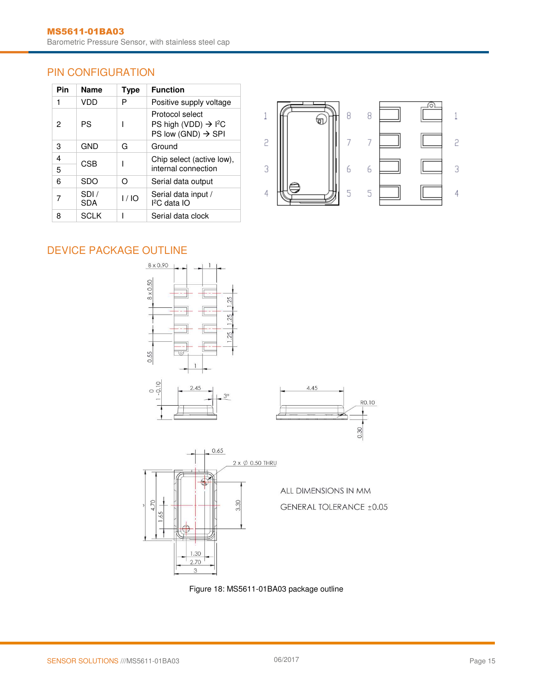### PIN CONFIGURATION

| Pin    | <b>Name</b>  | Type | <b>Function</b>                                                                                   |
|--------|--------------|------|---------------------------------------------------------------------------------------------------|
|        | VDD          | P    | Positive supply voltage                                                                           |
| 2      | PS           |      | Protocol select<br>PS high (VDD) $\rightarrow$ I <sup>2</sup> C<br>PS low (GND) $\rightarrow$ SPI |
| 3      | GND          | G    | Ground                                                                                            |
| 4<br>5 | CSB          |      | Chip select (active low),<br>internal connection                                                  |
| 6      | <b>SDO</b>   | റ    | Serial data output                                                                                |
| 7      | SDI /<br>SDA | 1/10 | Serial data input /<br>$I2C$ data IO                                                              |
|        | SCI K        |      | Serial data clock                                                                                 |



## DEVICE PACKAGE OUTLINE





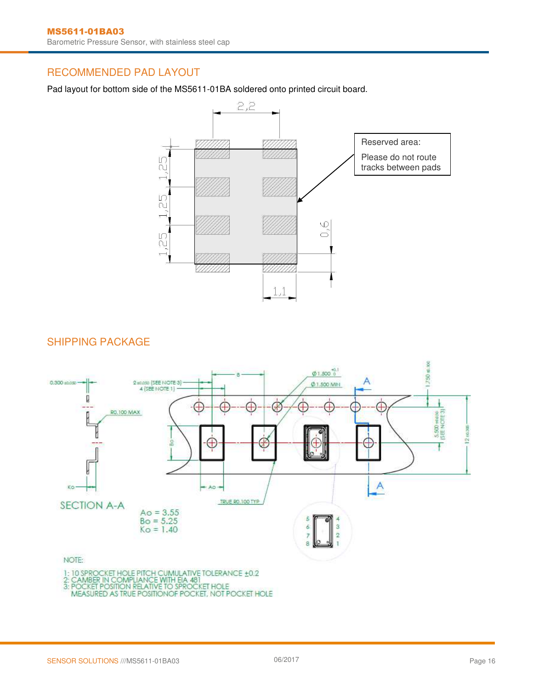### RECOMMENDED PAD LAYOUT

Pad layout for bottom side of the MS5611-01BA soldered onto printed circuit board.



### SHIPPING PACKAGE

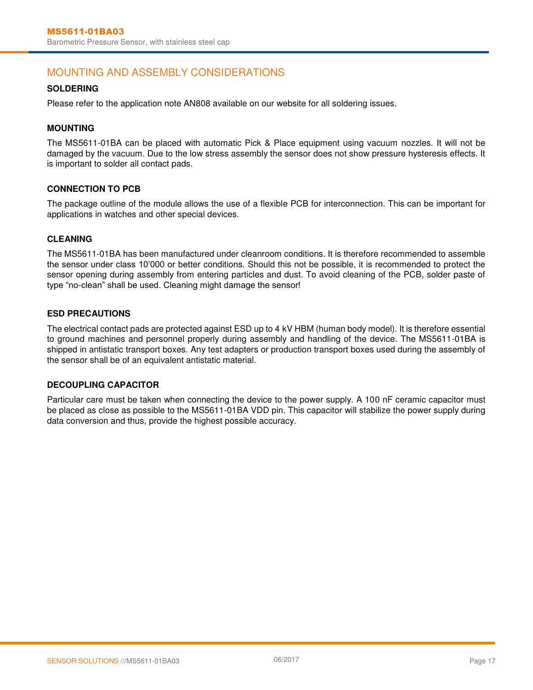### MOUNTING AND ASSEMBLY CONSIDERATIONS

#### **SOLDERING**

Please refer to the application note AN808 available on our website for all soldering issues.

#### **MOUNTING**

The MS5611-01BA can be placed with automatic Pick & Place equipment using vacuum nozzles. It will not be damaged by the vacuum. Due to the low stress assembly the sensor does not show pressure hysteresis effects. It is important to solder all contact pads.

#### **CONNECTION TO PCB**

The package outline of the module allows the use of a flexible PCB for interconnection. This can be important for applications in watches and other special devices.

#### **CLEANING**

The MS5611-01BA has been manufactured under cleanroom conditions. It is therefore recommended to assemble the sensor under class 10'000 or better conditions. Should this not be possible, it is recommended to protect the sensor opening during assembly from entering particles and dust. To avoid cleaning of the PCB, solder paste of type "no-clean" shall be used. Cleaning might damage the sensor!

#### **ESD PRECAUTIONS**

The electrical contact pads are protected against ESD up to 4 kV HBM (human body model). It is therefore essential to ground machines and personnel properly during assembly and handling of the device. The MS5611-01BA is shipped in antistatic transport boxes. Any test adapters or production transport boxes used during the assembly of the sensor shall be of an equivalent antistatic material.

#### **DECOUPLING CAPACITOR**

Particular care must be taken when connecting the device to the power supply. A 100 nF ceramic capacitor must be placed as close as possible to the MS5611-01BA VDD pin. This capacitor will stabilize the power supply during data conversion and thus, provide the highest possible accuracy.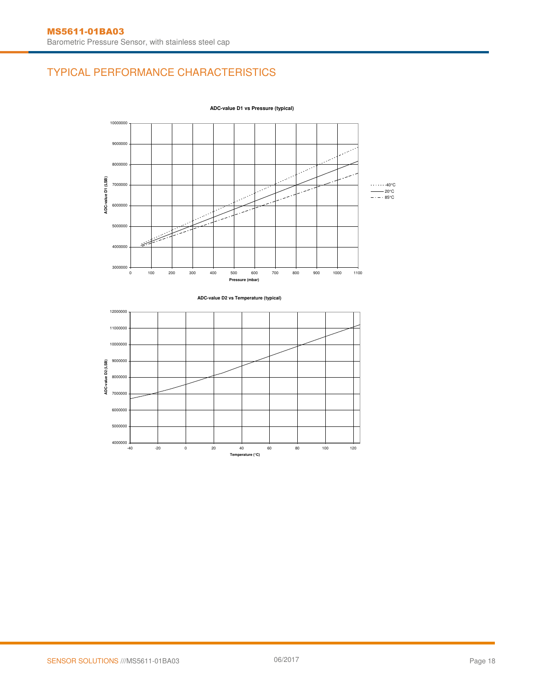## TYPICAL PERFORMANCE CHARACTERISTICS



**ADC-value D1 vs Pressure (typical)**



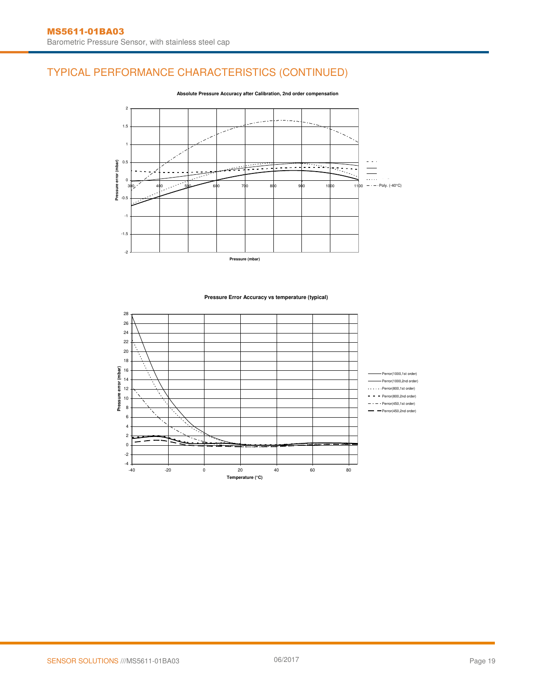## TYPICAL PERFORMANCE CHARACTERISTICS (CONTINUED)



**Absolute Pressure Accuracy after Calibration, 2nd order compensation**

#### **Pressure Error Accuracy vs temperature (typical)**

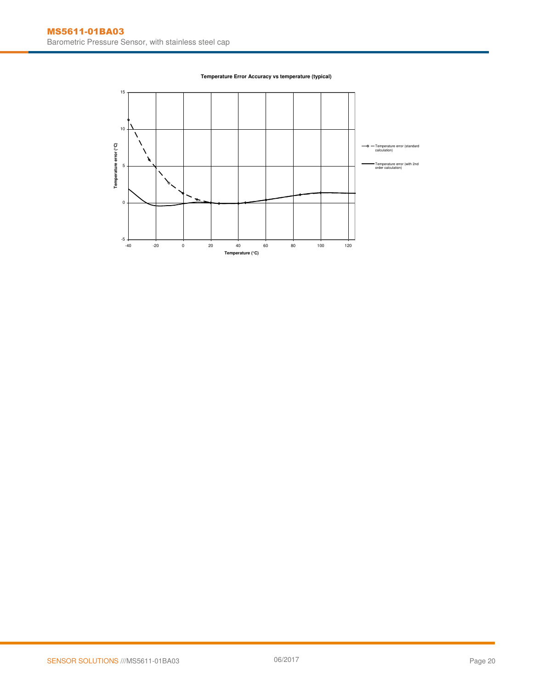

#### **Temperature Error Accuracy vs temperature (typical)**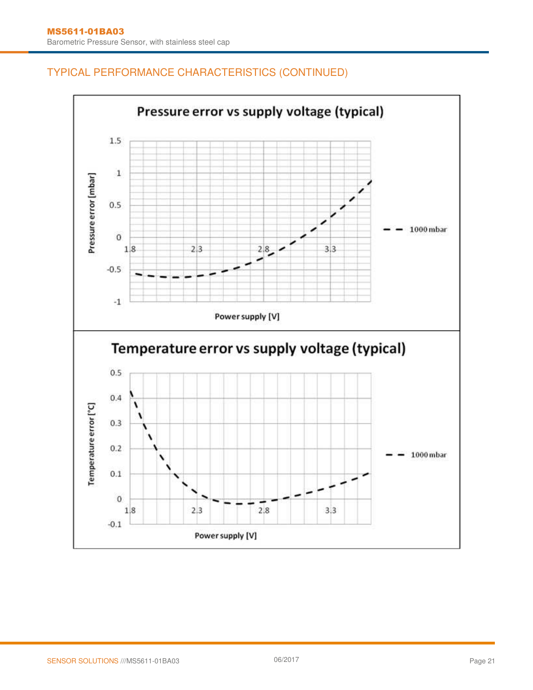## TYPICAL PERFORMANCE CHARACTERISTICS (CONTINUED)

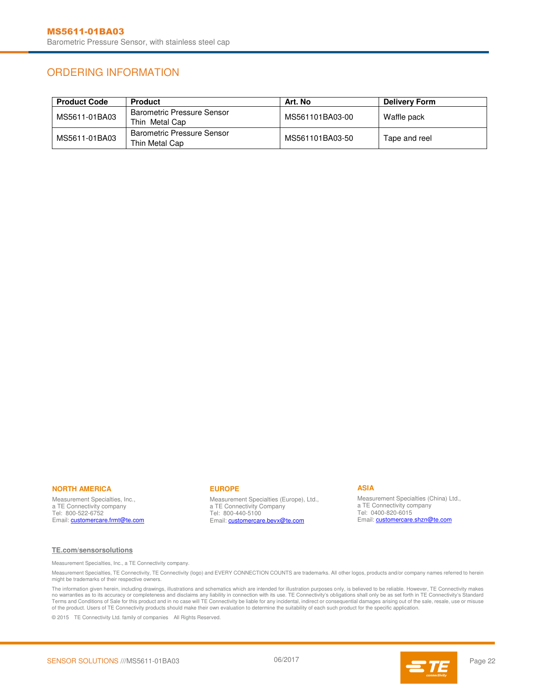### ORDERING INFORMATION

| <b>Product Code</b> | <b>Product</b>                                      | Art. No         | <b>Delivery Form</b> |
|---------------------|-----------------------------------------------------|-----------------|----------------------|
| MS5611-01BA03       | <b>Barometric Pressure Sensor</b><br>Thin Metal Cap | MS561101BA03-00 | Waffle pack          |
| MS5611-01BA03       | <b>Barometric Pressure Sensor</b><br>Thin Metal Cap | MS561101BA03-50 | Tape and reel        |

#### **NORTH AMERICA**

Measurement Specialties, Inc., a TE Connectivity company Tel: 800-522-6752 Email: **customercare.frmt@te.com** 

#### **EUROPE**

Measurement Specialties (Europe), Ltd., a TE Connectivity Company Tel: 800-440-5100 Email: **customercare.bevx@te.com** 

#### **ASIA**

Measurement Specialties (China) Ltd., a TE Connectivity company Tel: 0400-820-6015 Email: **customercare.shzn@te.com** 

#### **[TE.com/sensorsolutions](http://www.te.com/sensorsolutions)**

Measurement Specialties, Inc., a TE Connectivity company.

Measurement Specialties, TE Connectivity, TE Connectivity (logo) and EVERY CONNECTION COUNTS are trademarks. All other logos, products and/or company names referred to herein might be trademarks of their respective owners.

The information given herein, including drawings, illustrations and schematics which are intended for illustration purposes only, is believed to be reliable. However, TE Connectivity makes no warranties as to its accuracy or completeness and disclaims any liability in connection with its use. TE Connectivity's obligations shall only be as set forth in TE Connectivity's Standard<br>Terms and Conditions of Sale f of the product. Users of TE Connectivity products should make their own evaluation to determine the suitability of each such product for the specific application.

© 2015 TE Connectivity Ltd. family of companies All Rights Reserved.